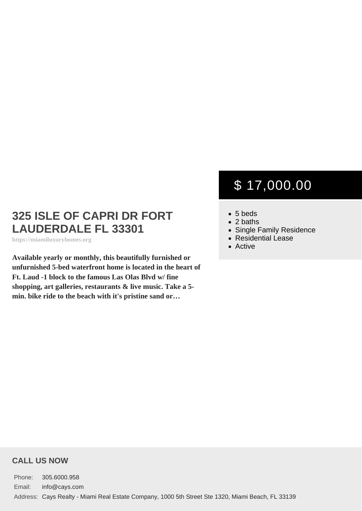## 325 ISLE OF CAPRI DR FORT LAUDERDALE FL 33301

https://miamiluxuryhomes.org

Available yearly or monthly, this beautifully furnished or unfurnished 5-bed waterfront home is located in the heart of Ft. Laud -1 block to the famous Las Olas Blvd w/ fine shopping, art galleries, restaurants & live music. Take a 5 min. bike ride to the beach with it's pristine sand or…

# \$ 17,000.00

- 5 beds
- $\bullet$  2 baths
- [Single Family Residence](https://miamiluxuryhomes.org/es_type/single-family-residence/)
- [Residential Lease](https://miamiluxuryhomes.org/es_category/residential-lease/)
- [Active](https://miamiluxuryhomes.org/es_status/active/)

#### CALL US NOW

Phone: 305.6000.958 Email: info@cays.com Address: Cays Realty - Miami Real Estate Company, 1000 5th Street Ste 1320, Miami Beach, FL 33139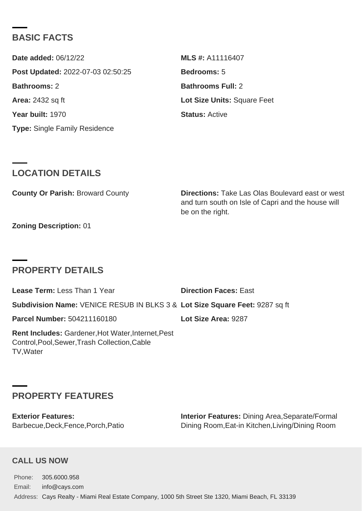### BASIC FACTS

| Date added: 06/12/22              | MLS #: A11116407            |
|-----------------------------------|-----------------------------|
| Post Updated: 2022-07-03 02:50:25 | Bedrooms: 5                 |
| Bathrooms: 2                      | Bathrooms Full: 2           |
| Area: 2432 sq ft                  | Lot Size Units: Square Feet |
| Year built: 1970                  | Status: Active              |
| Type: Single Family Residence     |                             |

#### LOCATION DETAILS

| County Or Parish: Broward County |                  | Directions: Take Las Olas Boulevard east or west   |
|----------------------------------|------------------|----------------------------------------------------|
|                                  | be on the right. | and turn south on Isle of Capri and the house will |

Zoning Description: 01

### PROPERTY DETAILS

| Lease Term: Less Than 1 Year                                                                                     | Direction Faces: East |
|------------------------------------------------------------------------------------------------------------------|-----------------------|
| Subdivision Name: VENICE RESUB IN BLKS 3 & Lot Size Square Feet: 9287 sq ft                                      |                       |
| Parcel Number: 504211160180                                                                                      | Lot Size Area: 9287   |
| Rent Includes: Gardener, Hot Water, Internet, Pest<br>Control, Pool, Sewer, Trash Collection, Cable<br>TV, Water |                       |

### PROPERTY FEATURES

Exterior Features: Barbecue,Deck,Fence,Porch,Patio Interior Features: Dining Area,Separate/Formal Dining Room,Eat-in Kitchen,Living/Dining Room

#### CALL US NOW

Phone: 305.6000.958 Email: info@cays.com Address: Cays Realty - Miami Real Estate Company, 1000 5th Street Ste 1320, Miami Beach, FL 33139